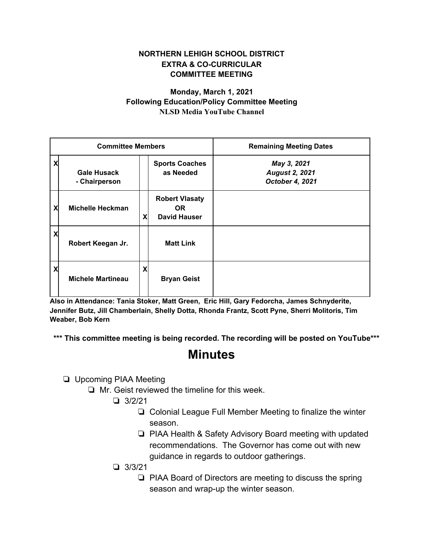## **NORTHERN LEHIGH SCHOOL DISTRICT EXTRA & CO-CURRICULAR COMMITTEE MEETING**

## **Monday, March 1, 2021 Following Education/Policy Committee Meeting NLSD Media YouTube Channel**

| <b>Committee Members</b> |                                     |   |                                                     | <b>Remaining Meeting Dates</b>                          |
|--------------------------|-------------------------------------|---|-----------------------------------------------------|---------------------------------------------------------|
| X                        | <b>Gale Husack</b><br>- Chairperson |   | <b>Sports Coaches</b><br>as Needed                  | May 3, 2021<br><b>August 2, 2021</b><br>October 4, 2021 |
| X                        | Michelle Heckman                    | X | <b>Robert Vlasaty</b><br>OR.<br><b>David Hauser</b> |                                                         |
| X                        | Robert Keegan Jr.                   |   | <b>Matt Link</b>                                    |                                                         |
| X                        | <b>Michele Martineau</b>            | X | <b>Bryan Geist</b>                                  |                                                         |

**Also in Attendance: Tania Stoker, Matt Green, Eric Hill, Gary Fedorcha, James Schnyderite, Jennifer Butz, Jill Chamberlain, Shelly Dotta, Rhonda Frantz, Scott Pyne, Sherri Molitoris, Tim Weaber, Bob Kern**

**\*\*\* This committee meeting is being recorded. The recording will be posted on YouTube\*\*\***

## **Minutes**

❏ Upcoming PIAA Meeting

❏ Mr. Geist reviewed the timeline for this week.

❏ 3/2/21

- ❏ Colonial League Full Member Meeting to finalize the winter season.
- ❏ PIAA Health & Safety Advisory Board meeting with updated recommendations. The Governor has come out with new guidance in regards to outdoor gatherings.
- ❏ 3/3/21
	- ❏ PIAA Board of Directors are meeting to discuss the spring season and wrap-up the winter season.